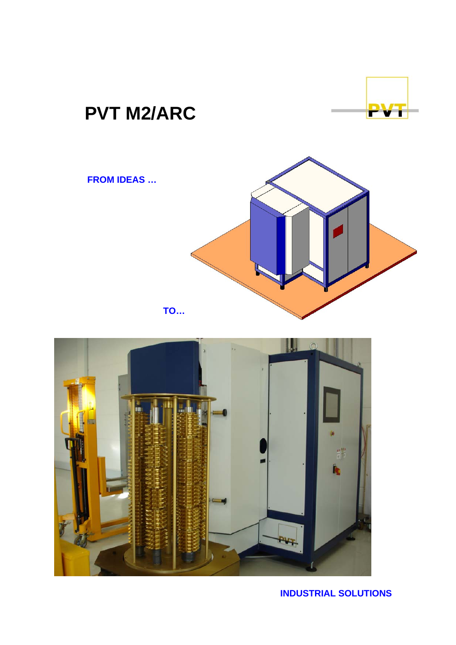# **PVT M2/ARC**

## **FROM IDEAS …**



**TO…** 



# **INDUSTRIAL SOLUTIONS**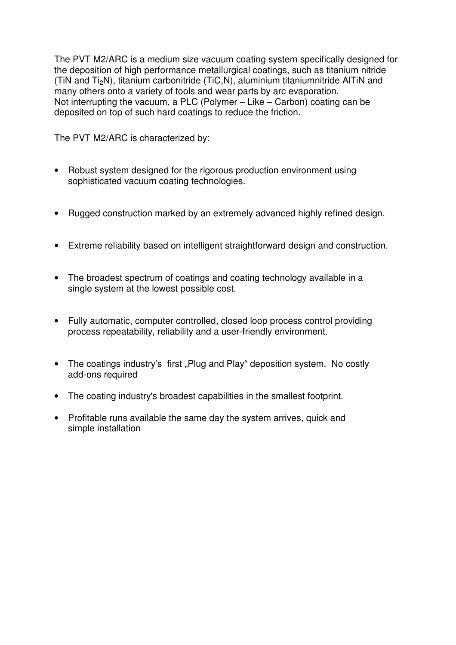The PVT M2/ARC is a medium size vacuum coating system specifically designed for the deposition of high performance metallurgical coatings, such as titanium nitride (TiN and Ti2N), titanium carbonitride (TiC,N), aluminium titaniumnitride AlTiN and many others onto a variety of tools and wear parts by arc evaporation. Not interrupting the vacuum, a PLC (Polymer – Like – Carbon) coating can be deposited on top of such hard coatings to reduce the friction.

The PVT M2/ARC is characterized by:

- Robust system designed for the rigorous production environment using sophisticated vacuum coating technologies.
- Rugged construction marked by an extremely advanced highly refined design.
- Extreme reliability based on intelligent straightforward design and construction.
- The broadest spectrum of coatings and coating technology available in a single system at the lowest possible cost.
- Fully automatic, computer controlled, closed loop process control providing process repeatability, reliability and a user-friendly environment.
- The coatings industry's first "Plug and Play" deposition system. No costly add-ons required
- The coating industry's broadest capabilities in the smallest footprint.
- Profitable runs available the same day the system arrives, quick and simple installation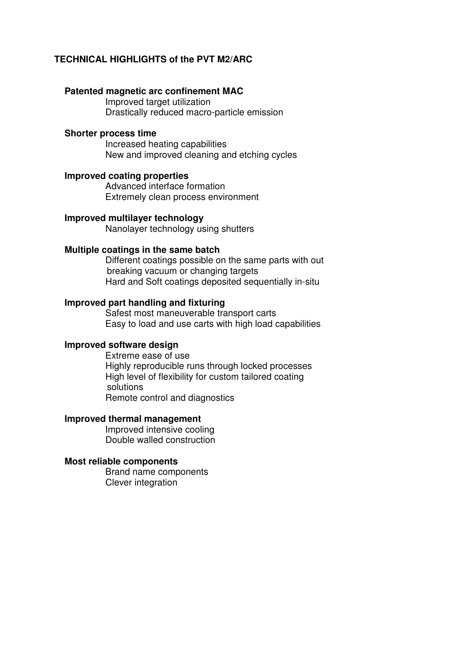### **TECHNICAL HIGHLIGHTS of the PVT M2/ARC**

#### **Patented magnetic arc confinement MAC**

Improved target utilization Drastically reduced macro-particle emission

#### **Shorter process time**

Increased heating capabilities New and improved cleaning and etching cycles

#### **Improved coating properties**

Advanced interface formation Extremely clean process environment

#### **Improved multilayer technology**

Nanolayer technology using shutters

#### **Multiple coatings in the same batch**

Different coatings possible on the same parts with out breaking vacuum or changing targets Hard and Soft coatings deposited sequentially in-situ

#### **Improved part handling and fixturing**

Safest most maneuverable transport carts Easy to load and use carts with high load capabilities

#### **Improved software design**

Extreme ease of use Highly reproducible runs through locked processes High level of flexibility for custom tailored coating solutions Remote control and diagnostics

#### **Improved thermal management**

Improved intensive cooling Double walled construction

#### **Most reliable components**

Brand name components Clever integration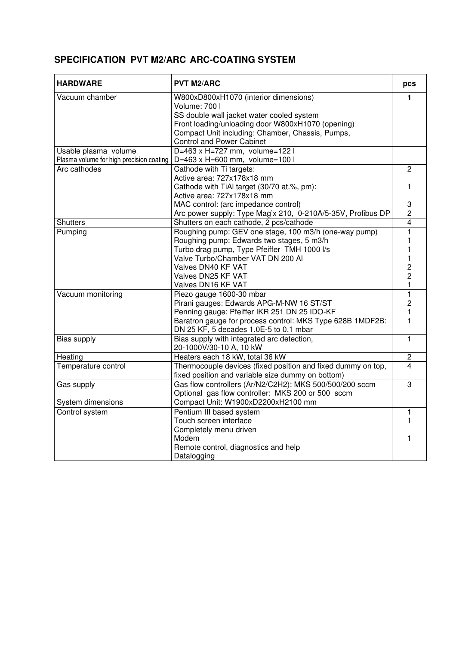## **SPECIFICATION PVT M2/ARC ARC-COATING SYSTEM**

| <b>HARDWARE</b>                          | <b>PVT M2/ARC</b>                                            |                |  |  |
|------------------------------------------|--------------------------------------------------------------|----------------|--|--|
| Vacuum chamber                           | W800xD800xH1070 (interior dimensions)                        | 1              |  |  |
|                                          | Volume: 700 l                                                |                |  |  |
|                                          | SS double wall jacket water cooled system                    |                |  |  |
|                                          | Front loading/unloading door W800xH1070 (opening)            |                |  |  |
|                                          | Compact Unit including: Chamber, Chassis, Pumps,             |                |  |  |
|                                          | <b>Control and Power Cabinet</b>                             |                |  |  |
| Usable plasma volume                     | D=463 x H=727 mm, volume=122 l                               |                |  |  |
| Plasma volume for high precision coating | D=463 x H=600 mm, volume=100 l                               |                |  |  |
| Arc cathodes                             | Cathode with Ti targets:                                     | $\overline{2}$ |  |  |
|                                          | Active area: 727x178x18 mm                                   |                |  |  |
|                                          | Cathode with TiAI target (30/70 at.%, pm):                   | 1              |  |  |
|                                          | Active area: 727x178x18 mm                                   |                |  |  |
|                                          | MAC control: (arc impedance control)                         | 3              |  |  |
|                                          | Arc power supply: Type Mag'x 210, 0-210A/5-35V, Profibus DP  | $\overline{2}$ |  |  |
| <b>Shutters</b>                          | Shutters on each cathode, 2 pcs/cathode                      | $\overline{4}$ |  |  |
| Pumping                                  | Roughing pump: GEV one stage, 100 m3/h (one-way pump)        | 1              |  |  |
|                                          | Roughing pump: Edwards two stages, 5 m3/h                    |                |  |  |
|                                          | Turbo drag pump, Type Pfeiffer TMH 1000 l/s                  |                |  |  |
|                                          | Valve Turbo/Chamber VAT DN 200 Al                            |                |  |  |
|                                          | Valves DN40 KF VAT                                           | 2              |  |  |
|                                          | Valves DN25 KF VAT                                           | $\overline{c}$ |  |  |
|                                          | Valves DN16 KF VAT                                           | $\mathbf{1}$   |  |  |
| Vacuum monitoring                        | Piezo gauge 1600-30 mbar                                     | $\mathbf{1}$   |  |  |
|                                          | Pirani gauges: Edwards APG-M-NW 16 ST/ST                     | $\overline{2}$ |  |  |
|                                          | Penning gauge: Pfeiffer IKR 251 DN 25 IDO-KF                 | 1              |  |  |
|                                          | Baratron gauge for process control: MKS Type 628B 1MDF2B:    | 1              |  |  |
|                                          | DN 25 KF, 5 decades 1.0E-5 to 0.1 mbar                       |                |  |  |
| <b>Bias supply</b>                       | Bias supply with integrated arc detection,                   | $\mathbf{1}$   |  |  |
|                                          | 20-1000V/30-10 A, 10 kW                                      |                |  |  |
| Heating                                  | Heaters each 18 kW, total 36 kW                              | $\overline{2}$ |  |  |
| Temperature control                      | Thermocouple devices (fixed position and fixed dummy on top, | $\overline{4}$ |  |  |
|                                          | fixed position and variable size dummy on bottom)            |                |  |  |
| Gas supply                               | Gas flow controllers (Ar/N2/C2H2): MKS 500/500/200 sccm      | $\overline{3}$ |  |  |
|                                          | Optional gas flow controller: MKS 200 or 500 sccm            |                |  |  |
| System dimensions                        | Compact Unit: W1900xD2200xH2100 mm                           |                |  |  |
| Control system                           | Pentium III based system                                     | $\mathbf{1}$   |  |  |
|                                          | Touch screen interface                                       |                |  |  |
|                                          | Completely menu driven                                       |                |  |  |
|                                          | Modem                                                        | 1              |  |  |
|                                          | Remote control, diagnostics and help                         |                |  |  |
|                                          | Datalogging                                                  |                |  |  |